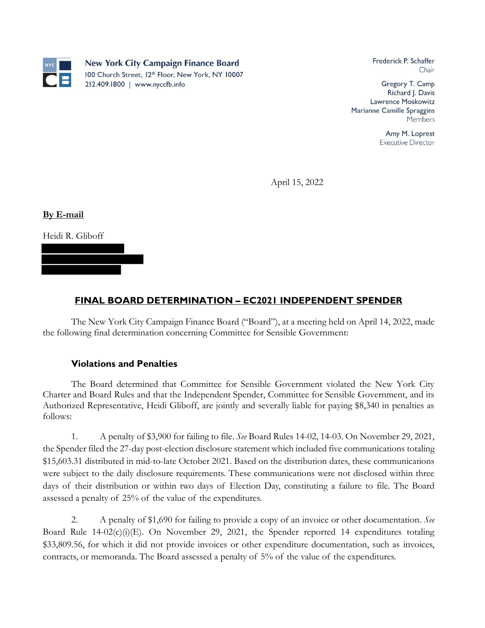

Frederick P. Schaffer Chair

Gregory T. Camp Richard J. Davis Lawrence Moskowitz Marianne Camille Spraggins Members

> Amy M. Loprest **Executive Director**

April 15, 2022

**By E-mail**

Heidi R. Gliboff

## **FINAL BOARD DETERMINATION – EC2021 INDEPENDENT SPENDER**

The New York City Campaign Finance Board ("Board"), at a meeting held on April 14, 2022, made the following final determination concerning Committee for Sensible Government:

## **Violations and Penalties**

The Board determined that Committee for Sensible Government violated the New York City Charter and Board Rules and that the Independent Spender, Committee for Sensible Government, and its Authorized Representative, Heidi Gliboff, are jointly and severally liable for paying \$8,340 in penalties as follows:

1. A penalty of \$3,900 for failing to file. *See* Board Rules 14-02, 14-03. On November 29, 2021, the Spender filed the 27-day post-election disclosure statement which included five communications totaling \$15,603.31 distributed in mid-to-late October 2021. Based on the distribution dates, these communications were subject to the daily disclosure requirements. These communications were not disclosed within three days of their distribution or within two days of Election Day, constituting a failure to file. The Board assessed a penalty of 25% of the value of the expenditures.

2. A penalty of \$1,690 for failing to provide a copy of an invoice or other documentation. *See*  Board Rule 14-02(c)(i)(E). On November 29, 2021, the Spender reported 14 expenditures totaling \$33,809.56, for which it did not provide invoices or other expenditure documentation, such as invoices, contracts, or memoranda. The Board assessed a penalty of 5% of the value of the expenditures.